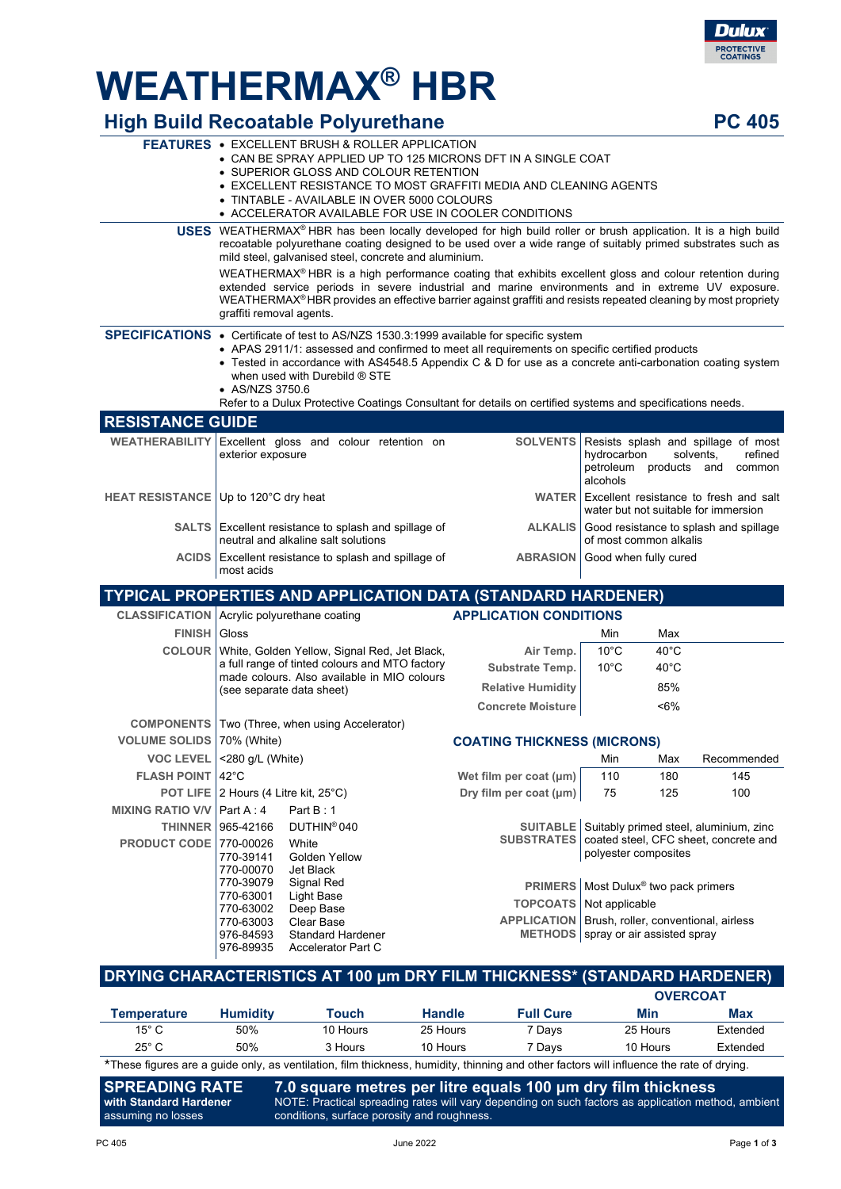# **WEATHERMAX® HBR**

|                                               |                                                                                                                                                                                                                                                                                                           | <b>High Build Recoatable Polyurethane</b>                                                                                                                                                                                                                                                                                                                                                                                                                                  |                                                                                                         |                                                                                      |                  |                   | <b>PC 405</b> |  |
|-----------------------------------------------|-----------------------------------------------------------------------------------------------------------------------------------------------------------------------------------------------------------------------------------------------------------------------------------------------------------|----------------------------------------------------------------------------------------------------------------------------------------------------------------------------------------------------------------------------------------------------------------------------------------------------------------------------------------------------------------------------------------------------------------------------------------------------------------------------|---------------------------------------------------------------------------------------------------------|--------------------------------------------------------------------------------------|------------------|-------------------|---------------|--|
|                                               |                                                                                                                                                                                                                                                                                                           | <b>FEATURES • EXCELLENT BRUSH &amp; ROLLER APPLICATION</b><br>• CAN BE SPRAY APPLIED UP TO 125 MICRONS DFT IN A SINGLE COAT<br>• SUPERIOR GLOSS AND COLOUR RETENTION<br>• EXCELLENT RESISTANCE TO MOST GRAFFITI MEDIA AND CLEANING AGENTS<br>• TINTABLE - AVAILABLE IN OVER 5000 COLOURS<br>• ACCELERATOR AVAILABLE FOR USE IN COOLER CONDITIONS                                                                                                                           |                                                                                                         |                                                                                      |                  |                   |               |  |
|                                               | <b>USES</b> WEATHERMAX <sup>®</sup> HBR has been locally developed for high build roller or brush application. It is a high build<br>recoatable polyurethane coating designed to be used over a wide range of suitably primed substrates such as<br>mild steel, galvanised steel, concrete and aluminium. |                                                                                                                                                                                                                                                                                                                                                                                                                                                                            |                                                                                                         |                                                                                      |                  |                   |               |  |
|                                               |                                                                                                                                                                                                                                                                                                           | WEATHERMAX <sup>®</sup> HBR is a high performance coating that exhibits excellent gloss and colour retention during<br>extended service periods in severe industrial and marine environments and in extreme UV exposure.<br>WEATHERMAX <sup>®</sup> HBR provides an effective barrier against graffiti and resists repeated cleaning by most propriety<br>graffiti removal agents.                                                                                         |                                                                                                         |                                                                                      |                  |                   |               |  |
|                                               |                                                                                                                                                                                                                                                                                                           | SPECIFICATIONS • Certificate of test to AS/NZS 1530.3:1999 available for specific system<br>• APAS 2911/1: assessed and confirmed to meet all requirements on specific certified products<br>• Tested in accordance with AS4548.5 Appendix C & D for use as a concrete anti-carbonation coating system<br>when used with Durebild $@$ STE<br>• AS/NZS 3750.6<br>Refer to a Dulux Protective Coatings Consultant for details on certified systems and specifications needs. |                                                                                                         |                                                                                      |                  |                   |               |  |
| <b>RESISTANCE GUIDE</b>                       |                                                                                                                                                                                                                                                                                                           |                                                                                                                                                                                                                                                                                                                                                                                                                                                                            |                                                                                                         |                                                                                      |                  |                   |               |  |
| <b>WEATHERABILITY</b>                         | exterior exposure                                                                                                                                                                                                                                                                                         | Excellent gloss and colour retention on                                                                                                                                                                                                                                                                                                                                                                                                                                    | <b>SOLVENTS</b><br>Resists splash and spillage of most<br>hydrocarbon<br>petroleum products<br>alcohols |                                                                                      | solvents,<br>and | refined<br>common |               |  |
|                                               | HEAT RESISTANCE Up to 120°C dry heat<br>WATER Excellent resistance to fresh and salt<br>water but not suitable for immersion                                                                                                                                                                              |                                                                                                                                                                                                                                                                                                                                                                                                                                                                            |                                                                                                         |                                                                                      |                  |                   |               |  |
|                                               |                                                                                                                                                                                                                                                                                                           | <b>SALTS</b> Excellent resistance to splash and spillage of<br>neutral and alkaline salt solutions                                                                                                                                                                                                                                                                                                                                                                         | <b>ALKALIS</b>                                                                                          | Good resistance to splash and spillage<br>of most common alkalis                     |                  |                   |               |  |
|                                               | ACIDS   Excellent resistance to splash and spillage of<br><b>ABRASION</b><br>Good when fully cured<br>most acids                                                                                                                                                                                          |                                                                                                                                                                                                                                                                                                                                                                                                                                                                            |                                                                                                         |                                                                                      |                  |                   |               |  |
|                                               |                                                                                                                                                                                                                                                                                                           | <b>TYPICAL PROPERTIES AND APPLICATION DATA (STANDARD HARDENER)</b>                                                                                                                                                                                                                                                                                                                                                                                                         |                                                                                                         |                                                                                      |                  |                   |               |  |
| CLASSIFICATION   Acrylic polyurethane coating |                                                                                                                                                                                                                                                                                                           |                                                                                                                                                                                                                                                                                                                                                                                                                                                                            | <b>APPLICATION CONDITIONS</b>                                                                           |                                                                                      |                  |                   |               |  |
| <b>FINISH</b>                                 | Gloss                                                                                                                                                                                                                                                                                                     |                                                                                                                                                                                                                                                                                                                                                                                                                                                                            |                                                                                                         | Min                                                                                  | Max              |                   |               |  |
|                                               |                                                                                                                                                                                                                                                                                                           | COLOUR   White, Golden Yellow, Signal Red, Jet Black,                                                                                                                                                                                                                                                                                                                                                                                                                      | Air Temp.                                                                                               | $10^{\circ}$ C                                                                       | $40^{\circ}$ C   |                   |               |  |
|                                               |                                                                                                                                                                                                                                                                                                           | a full range of tinted colours and MTO factory                                                                                                                                                                                                                                                                                                                                                                                                                             | <b>Substrate Temp.</b>                                                                                  | $10^{\circ}$ C                                                                       | $40^{\circ}$ C   |                   |               |  |
|                                               |                                                                                                                                                                                                                                                                                                           | made colours. Also available in MIO colours<br>(see separate data sheet)                                                                                                                                                                                                                                                                                                                                                                                                   | <b>Relative Humidity</b>                                                                                |                                                                                      | 85%              |                   |               |  |
|                                               |                                                                                                                                                                                                                                                                                                           |                                                                                                                                                                                                                                                                                                                                                                                                                                                                            | <b>Concrete Moisture</b>                                                                                |                                                                                      | $< 6\%$          |                   |               |  |
|                                               |                                                                                                                                                                                                                                                                                                           | <b>COMPONENTS</b>   Two (Three, when using Accelerator)                                                                                                                                                                                                                                                                                                                                                                                                                    |                                                                                                         |                                                                                      |                  |                   |               |  |
| VOLUME SOLIDS   70% (White)                   |                                                                                                                                                                                                                                                                                                           |                                                                                                                                                                                                                                                                                                                                                                                                                                                                            | <b>COATING THICKNESS (MICRONS)</b>                                                                      |                                                                                      |                  |                   |               |  |
| <b>VOC LEVEL</b>                              | <280 g/L (White)                                                                                                                                                                                                                                                                                          |                                                                                                                                                                                                                                                                                                                                                                                                                                                                            |                                                                                                         | Min                                                                                  | Max              | Recommended       |               |  |
| <b>FLASH POINT</b>                            | $42^{\circ}$ C                                                                                                                                                                                                                                                                                            |                                                                                                                                                                                                                                                                                                                                                                                                                                                                            | Wet film per coat (µm)                                                                                  | 110                                                                                  | 180              | 145               |               |  |
|                                               | POT LIFE   2 Hours (4 Litre kit, 25°C)                                                                                                                                                                                                                                                                    |                                                                                                                                                                                                                                                                                                                                                                                                                                                                            | Dry film per coat (µm)                                                                                  | 75                                                                                   | 125              | 100               |               |  |
| <b>MIXING RATIO V/V</b>                       | Part $A:4$                                                                                                                                                                                                                                                                                                | Part B: 1                                                                                                                                                                                                                                                                                                                                                                                                                                                                  |                                                                                                         |                                                                                      |                  |                   |               |  |
| <b>THINNER</b>                                | 965-42166                                                                                                                                                                                                                                                                                                 | DUTHIN <sup>®</sup> 040                                                                                                                                                                                                                                                                                                                                                                                                                                                    | <b>SUITABLE</b>                                                                                         | Suitably primed steel, aluminium, zinc                                               |                  |                   |               |  |
| <b>PRODUCT CODE</b>                           | 770-00026<br>770-39141                                                                                                                                                                                                                                                                                    | White<br>Golden Yellow                                                                                                                                                                                                                                                                                                                                                                                                                                                     | <b>SUBSTRATES</b>                                                                                       | coated steel, CFC sheet, concrete and<br>polyester composites                        |                  |                   |               |  |
|                                               | 770-00070<br>770-39079                                                                                                                                                                                                                                                                                    | Jet Black<br>Signal Red                                                                                                                                                                                                                                                                                                                                                                                                                                                    |                                                                                                         |                                                                                      |                  |                   |               |  |
|                                               | 770-63001                                                                                                                                                                                                                                                                                                 | Light Base                                                                                                                                                                                                                                                                                                                                                                                                                                                                 |                                                                                                         | PRIMERS   Most Dulux <sup>®</sup> two pack primers<br><b>TOPCOATS</b> Not applicable |                  |                   |               |  |
|                                               | 770-63002                                                                                                                                                                                                                                                                                                 | Deep Base<br>Clear Base                                                                                                                                                                                                                                                                                                                                                                                                                                                    | APPLICATION   Brush, roller, conventional, airless                                                      |                                                                                      |                  |                   |               |  |
|                                               | 770-63003<br>976-84593<br>976-89935                                                                                                                                                                                                                                                                       | <b>Standard Hardener</b><br>Accelerator Part C                                                                                                                                                                                                                                                                                                                                                                                                                             | METHODS   spray or air assisted spray                                                                   |                                                                                      |                  |                   |               |  |

## **DRYING CHARACTERISTICS AT 100 μm DRY FILM THICKNESS\* (STANDARD HARDENER)**

|                                                                                                                                          |                 |          |               |                  | <b>OVERCOAT</b> |          |
|------------------------------------------------------------------------------------------------------------------------------------------|-----------------|----------|---------------|------------------|-----------------|----------|
| Temperature                                                                                                                              | <b>Humidity</b> | Touch    | <b>Handle</b> | <b>Full Cure</b> | Min             | Max      |
| 15° C                                                                                                                                    | 50%             | 10 Hours | 25 Hours      | 7 Davs           | 25 Hours        | Extended |
| 25° C                                                                                                                                    | 50%             | 3 Hours  | 10 Hours      | 7 Davs           | 10 Hours        | Extended |
| *These figures are a guide only, as ventilation, film thickness, humidity, thinning and other factors will influence the rate of drying. |                 |          |               |                  |                 |          |

**SPREADING RATE with Standard Hardener 7.0 square metres per litre equals 100 μm dry film thickness** NOTE: Practical spreading rates will vary depending on such factors as application method, ambient conditions, surface porosity and roughness.

assuming no losses

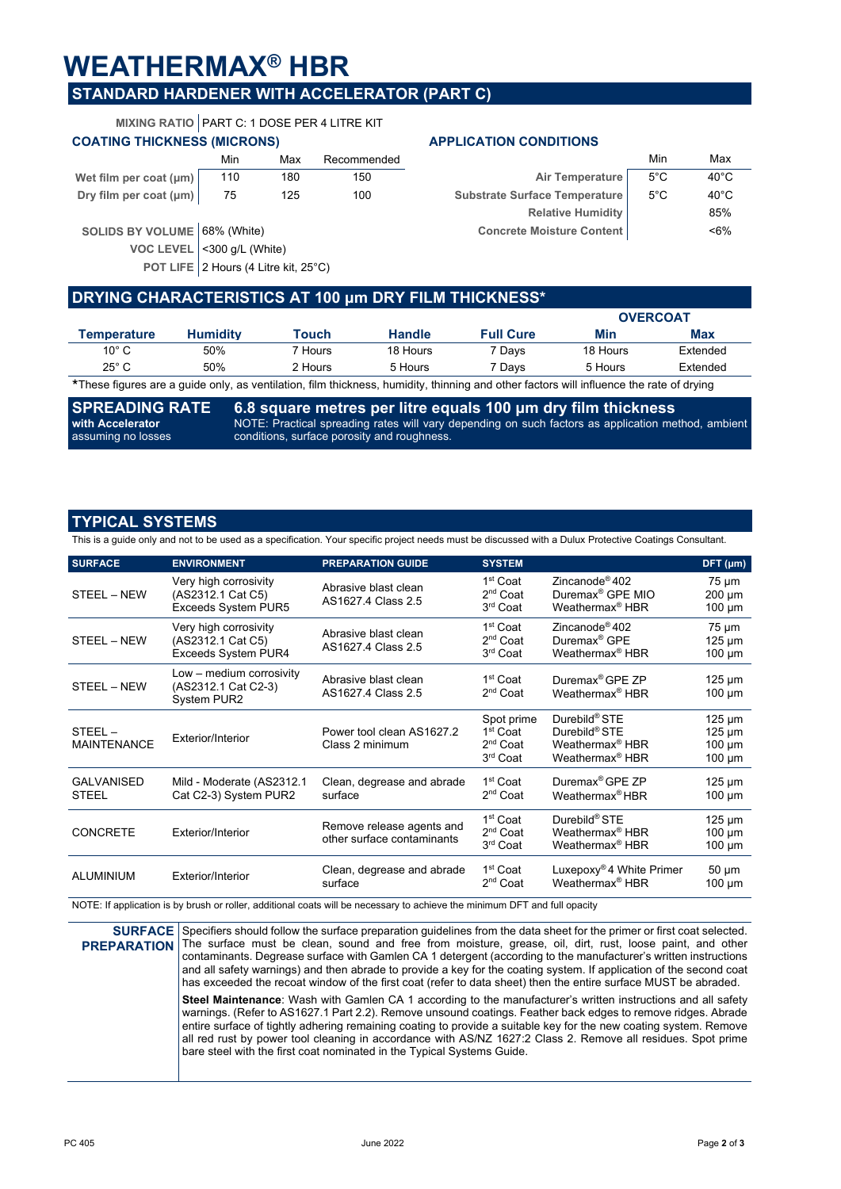## **WEATHERMAX® HBR**

**VOC LEVEL** <300 g/L (White)

## **STANDARD HARDENER WITH ACCELERATOR (PART C)**

**MIXING RATIO** PART C: 1 DOSE PER 4 LITRE KIT

|                              | Min | Max | Recommended |                                  | Min           | Max            |
|------------------------------|-----|-----|-------------|----------------------------------|---------------|----------------|
| Wet film per coat (µm)       | 110 | 180 | 150         | Air Temperature                  | $5^{\circ}$ C | $40^{\circ}$ C |
| Dry film per coat (µm)       | 75  | 125 | 100         | Substrate Surface Temperature    | $5^{\circ}$ C | $40^{\circ}$ C |
|                              |     |     |             | <b>Relative Humidity</b>         |               | 85%            |
| SOLIDS BY VOLUME 68% (White) |     |     |             | <b>Concrete Moisture Content</b> |               | $< 6\%$        |

POT LIFE 2 Hours (4 Litre kit, 25°C)

### **COATING THICKNESS (MICRONS) APPLICATION CONDITIONS**

| Min        | Max | Recommended |                                  | Min           | Max            |
|------------|-----|-------------|----------------------------------|---------------|----------------|
| 110        | 180 | 150         | Air Temperature                  | 5°C           | $40^{\circ}$ C |
| 75         | 125 | 100         | Substrate Surface Temperature    | $5^{\circ}$ C | $40^{\circ}$ C |
|            |     |             | <b>Relative Humidity</b>         |               | 85%            |
| օ՜ (White) |     |             | <b>Concrete Moisture Content</b> |               | $<6\%$         |
|            |     |             |                                  |               |                |

### **DRYING CHARACTERISTICS AT 100 μm DRY FILM THICKNESS\***

|                |                 |         |               |                                                                                                                                                                                                                                        | <b>OVERCOAT</b> |            |
|----------------|-----------------|---------|---------------|----------------------------------------------------------------------------------------------------------------------------------------------------------------------------------------------------------------------------------------|-----------------|------------|
| Temperature    | <b>Humidity</b> | Touch   | <b>Handle</b> | <b>Full Cure</b>                                                                                                                                                                                                                       | Min             | <b>Max</b> |
| $10^{\circ}$ C | 50%             | 7 Hours | 18 Hours      | 7 Days                                                                                                                                                                                                                                 | 18 Hours        | Extended   |
| $25^\circ$ C   | 50%             | 2 Hours | 5 Hours       | <sup>7</sup> Davs                                                                                                                                                                                                                      | 5 Hours         | Extended   |
|                |                 |         |               | <del>Φ T</del> he company of the company of the Black Black Description of the Holly of the Company of the Company of the Company of the Company of the Company of the Company of the Company of the Company of the Company of the Com |                 |            |

\*These figures are a guide only, as ventilation, film thickness, humidity, thinning and other factors will influence the rate of drying

**SPREADING RATE with Accelerator** assuming no losses **6.8 square metres per litre equals 100 μm dry film thickness** NOTE: Practical spreading rates will vary depending on such factors as application method, ambient conditions, surface porosity and roughness.

## **TYPICAL SYSTEMS**

This is a guide only and not to be used as a specification. Your specific project needs must be discussed with a Dulux Protective Coatings Consultant.

| <b>SURFACE</b>                    | <b>ENVIRONMENT</b>                                                       | <b>PREPARATION GUIDE</b>                                | <b>SYSTEM</b>                                                                      |                                                                                                                      | DFT (µm)                                                 |
|-----------------------------------|--------------------------------------------------------------------------|---------------------------------------------------------|------------------------------------------------------------------------------------|----------------------------------------------------------------------------------------------------------------------|----------------------------------------------------------|
| STEEL - NEW                       | Very high corrosivity<br>(AS2312.1 Cat C5)<br><b>Exceeds System PUR5</b> | Abrasive blast clean<br>AS1627.4 Class 2.5              | 1 <sup>st</sup> Coat<br>2 <sup>nd</sup> Coat<br>3rd Coat                           | Zincanode <sup>®</sup> 402<br>Duremax <sup>®</sup> GPE MIO<br>Weathermax <sup>®</sup> HBR                            | $75 \mu m$<br>$200 \mu m$<br>$100 \mu m$                 |
| STEEL - NEW                       | Very high corrosivity<br>(AS2312.1 Cat C5)<br>Exceeds System PUR4        | Abrasive blast clean<br>AS1627.4 Class 2.5              | 1 <sup>st</sup> Coat<br>2 <sup>nd</sup> Coat<br>3 <sup>rd</sup> Coat               | Zincanode <sup>®</sup> 402<br>Duremax <sup>®</sup> GPE<br>Weathermax <sup>®</sup> HBR                                | $75 \mu m$<br>$125 \mu m$<br>$100 \mu m$                 |
| STEEL - NEW                       | Low - medium corrosivity<br>(AS2312.1 Cat C2-3)<br>System PUR2           | Abrasive blast clean<br>AS1627.4 Class 2.5              | 1 <sup>st</sup> Coat<br>$2nd$ Coat                                                 | Duremax <sup>®</sup> GPE ZP<br>Weathermax <sup>®</sup> HBR                                                           | $125 \mu m$<br>$100 \mu m$                               |
| STEEL-<br><b>MAINTENANCE</b>      | Exterior/Interior                                                        | Power tool clean AS1627.2<br>Class 2 minimum            | Spot prime<br>1 <sup>st</sup> Coat<br>2 <sup>nd</sup> Coat<br>3 <sup>rd</sup> Coat | Durebild <sup>®</sup> STE<br>Durebild <sup>®</sup> STE<br>Weathermax <sup>®</sup> HBR<br>Weathermax <sup>®</sup> HBR | $125 \mu m$<br>$125 \mu m$<br>$100 \mu m$<br>$100 \mu m$ |
| <b>GALVANISED</b><br><b>STEEL</b> | Mild - Moderate (AS2312.1<br>Cat C2-3) System PUR2                       | Clean, degrease and abrade<br>surface                   | 1 <sup>st</sup> Coat<br>$2nd$ Coat                                                 | Duremax <sup>®</sup> GPE ZP<br>Weathermax <sup>®</sup> HBR                                                           | $125 \mu m$<br>$100 \mu m$                               |
| <b>CONCRETE</b>                   | Exterior/Interior                                                        | Remove release agents and<br>other surface contaminants | 1 <sup>st</sup> Coat<br>2 <sup>nd</sup> Coat<br>3rd Coat                           | Durebild <sup>®</sup> STE<br>Weathermax <sup>®</sup> HBR<br>Weathermax <sup>®</sup> HBR                              | $125 \mu m$<br>$100 \mu m$<br>$100 \mu m$                |
| <b>ALUMINIUM</b>                  | Exterior/Interior                                                        | Clean, degrease and abrade<br>surface                   | 1 <sup>st</sup> Coat<br>2 <sup>nd</sup> Coat                                       | Luxepoxy <sup>®</sup> 4 White Primer<br>Weathermax <sup>®</sup> HBR                                                  | $50 \mu m$<br>$100 \mu m$                                |

NOTE: If application is by brush or roller, additional coats will be necessary to achieve the minimum DFT and full opacity

**SURFACE PREPARATION** Specifiers should follow the surface preparation guidelines from the data sheet for the primer or first coat selected. The surface must be clean, sound and free from moisture, grease, oil, dirt, rust, loose paint, and other contaminants. Degrease surface with Gamlen CA 1 detergent (according to the manufacturer's written instructions and all safety warnings) and then abrade to provide a key for the coating system. If application of the second coat has exceeded the recoat window of the first coat (refer to data sheet) then the entire surface MUST be abraded. **Steel Maintenance**: Wash with Gamlen CA 1 according to the manufacturer's written instructions and all safety warnings. (Refer to AS1627.1 Part 2.2). Remove unsound coatings. Feather back edges to remove ridges. Abrade entire surface of tightly adhering remaining coating to provide a suitable key for the new coating system. Remove all red rust by power tool cleaning in accordance with AS/NZ 1627:2 Class 2. Remove all residues. Spot prime bare steel with the first coat nominated in the Typical Systems Guide.